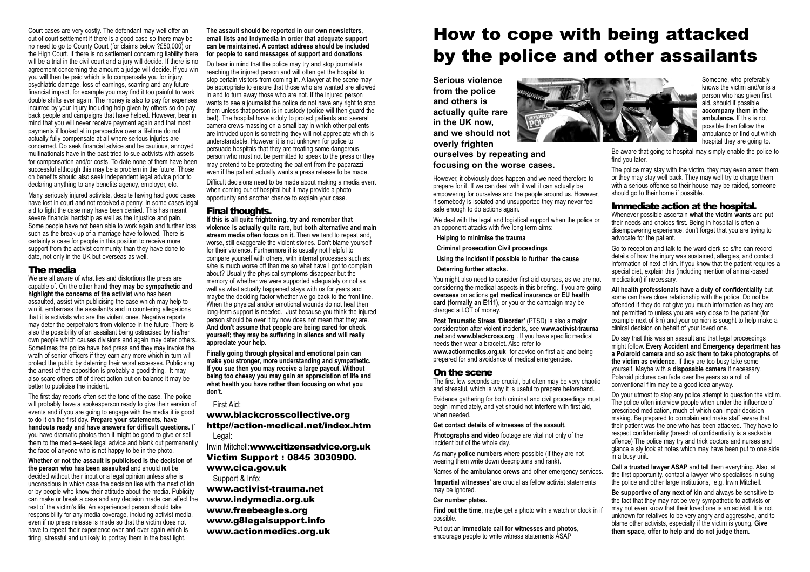Court cases are very costly. The defendant may well offer an out of court settlement if there is a good case so there may be no need to go to County Court (for claims below ?£50,000) or the High Court. If there is no settlement concerning liability there will be a trial in the civil court and a jury will decide. If there is no agreement concerning the amount a judge will decide. If you win you will then be paid which is to compensate you for injury, psychiatric damage, loss of earnings, scarring and any future financial impact, for example you may find it too painful to work double shifts ever again. The money is also to pay for expenses incurred by your injury including help given by others so do pay back people and campaigns that have helped. However, bear in mind that you will never receive payment again and that most payments if looked at in perspective over a lifetime do not actually fully compensate at all where serious injuries are concerned. Do seek financial advice and be cautious, annoyed multinationals have in the past tried to sue activists with assets for compensation and/or costs. To date none of them have been successful although this may be a problem in the future. Those on benefits should also seek independent legal advice prior to declaring anything to any benefits agency, employer, etc.

Many seriously injured activists, despite having had good cases have lost in court and not received a penny. In some cases legal aid to fight the case may have been denied. This has meant severe financial hardship as well as the injustice and pain. Some people have not been able to work again and further loss such as the break-up of a marriage have followed. There is certainly a case for people in this position to receive more support from the activist community than they have done to date, not only in the UK but overseas as well.

#### The media

We are all aware of what lies and distortions the press are capable of. On the other hand **they may be sympathetic and highlight the concerns of the activist** who has been assaulted, assist with publicising the case which may help to win it, embarrass the assailant/s and in countering allegations that it is activists who are the violent ones. Negative reports may deter the perpetrators from violence in the future. There is also the possibility of an assailant being ostracised by his/her own people which causes divisions and again may deter others. Sometimes the police have bad press and they may invoke the wrath of senior officers if they earn any more which in turn will protect the public by deterring their worst excesses. Publicising the arrest of the opposition is probably a good thing. It may also scare others off of direct action but on balance it may be better to publicise the incident.

The first day reports often set the tone of the case. The police will probably have a spokesperson ready to give their version of events and if you are going to engage with the media it is good to do it on the first day. **Prepare your statements, have handouts ready and have answers for difficult questions.** If you have dramatic photos then it might be good to give or sell them to the media--seek legal advice and blank out permanently the face of anyone who is not happy to be in the photo.

**Whether or not the assault is publicised is the decision of the person who has been assaulted** and should not be decided without their input or a legal opinion unless s/he is unconscious in which case the decision lies with the next of kin or by people who know their attitude about the media. Publicity can make or break a case and any decision made can affect the rest of the victim's life. An experienced person should take responsibility for any media coverage, including activist media, even if no press release is made so that the victim does not have to repeat their experience over and over again which is tiring, stressful and unlikely to portray them in the best light.

#### **The assault should be reported in our own newsletters, email lists and Indymedia in order that adequate support can be maintained. A contact address should be included for people to send messages of support and donations**.

Do bear in mind that the police may try and stop journalists reaching the injured person and will often get the hospital to stop certain visitors from coming in. A lawyer at the scene may be appropriate to ensure that those who are wanted are allowed in and to turn away those who are not. If the injured person wants to see a journalist the police do not have any right to stop them unless that person is in custody (police will then guard the bed). The hospital have a duty to protect patients and several camera crews massing on a small bay in which other patients are intruded upon is something they will not appreciate which is understandable. However it is not unknown for police to persuade hospitals that they are treating some dangerous person who must not be permitted to speak to the press or they may pretend to be protecting the patient from the paparazzi even if the patient actually wants a press release to be made.

Difficult decisions need to be made about making a media event when coming out of hospital but it may provide a photo opportunity and another chance to explain your case.

#### Final thoughts.

**If this is all quite frightening, try and remember that violence is actually quite rare, but both alternative and main stream media often focus on it.** Then we tend to repeat and, worse, still exaggerate the violent stories. Don't blame yourself for their violence. Furthermore it is usually not helpful to compare yourself with others, with internal processes such as: s/he is much worse off than me so what have I got to complain about? Usually the physical symptoms disappear but the memory of whether we were supported adequately or not as well as what actually happened stays with us for years and maybe the deciding factor whether we go back to the front line. When the physical and/or emotional wounds do not heal then long-term support is needed. Just because you think the injured person should be over it by now does not mean that they are. **And don't assume that people are being cared for check yourself; they may be suffering in silence and will really appreciate your help.**

**Finally going through physical and emotional pain can make you stronger, more understanding and sympathetic. If you sue then you may receive a large payout. Without being too cheesy you may gain an appreciation of life and what health you have rather than focusing on what you don't.** 

#### First Aid:

www.blackcrosscollective.org http://action-medical.net/index.htm Legal:

Irwin Mitchell: www.citizensadvice.org.uk Victim Support : 0845 3030900.

#### www.cica.gov.uk Support & Info:

www.activist-trauma.net www.indymedia.org.uk www.freebeagles.org www.g8legalsupport.info www.actionmedics.org.uk

# How to cope with being attacked by the police and other assailants

**Serious violence from the police and others is actually quite rare in the UK now, and we should not overly frighten**

# **ourselves by repeating and focusing on the worse cases.**

However, it obviously does happen and we need therefore to prepare for it. If we can deal with it well it can actually be empowering for ourselves and the people around us. However, if somebody is isolated and unsupported they may never feel safe enough to do actions again.

We deal with the legal and logistical support when the police or an opponent attacks with five long term aims:

**Helping to minimise the trauma**

**Criminal prosecution Civil proceedings**

**Using the incident if possible to further the cause**

**Deterring further attacks.**

You might also need to consider first aid courses, as we are not considering the medical aspects in this briefing. If you are going **overseas** on actions **get medical insurance or EU health card (formally an E111)**, or you or the campaign may be charged a LOT of money.

**Post Traumatic Stress 'Disorder'** (PTSD) is also a major consideration after violent incidents, see **www.activist-trauma .net** and **www.blackcross.org** . If you have specific medical needs then wear a bracelet. Also refer to **www.actionmedics.org.uk** for advice on first aid and being prepared for and avoidance of medical emergencies.

#### On the scene

The first few seconds are crucial, but often may be very chaotic and stressful, which is why it is useful to prepare beforehand.

Evidence gathering for both criminal and civil proceedings must begin immediately, and yet should not interfere with first aid, when needed.

#### **Get contact details of witnesses of the assault.**

**Photographs and video** footage are vital not only of the incident but of the whole day.

As many **police numbers** where possible (if they are not wearing them write down descriptions and rank).

Names of the **ambulance crews** and other emergency services.

**'Impartial witnesses'** are crucial as fellow activist statements may be ignored.

#### **Car number plates.**

**Find out the time,** maybe get a photo with a watch or clock in if possible.

Put out an **immediate call for witnesses and photos**, encourage people to write witness statements ASAP

Someone, who preferably knows the victim and/or is a person who has given first aid, should if possible **accompany them in the ambulance.** If this is not possible then follow the ambulance or find out which hospital they are going to.

Be aware that going to hospital may simply enable the police to find you later.

The police may stay with the victim, they may even arrest them, or they may stay well back. They may well try to charge them with a serious offence so their house may be raided, someone should go to their home if possible.

## Immediate action at the hospital.

Whenever possible ascertain **what the victim wants** and put their needs and choices first. Being in hospital is often a disempowering experience; don't forget that you are trying to advocate for the patient.

Go to reception and talk to the ward clerk so s/he can record details of how the injury was sustained, allergies, and contact information of next of kin. If you know that the patient requires a special diet, explain this (including mention of animal-based medication) if necessary.

**All health professionals have a duty of confidentiality** but some can have close relationship with the police. Do not be offended if they do not give you much information as they are not permitted to unless you are very close to the patient (for example next of kin) and your opinion is sought to help make a clinical decision on behalf of your loved one.

Do say that this was an assault and that legal proceedings might follow. **Every Accident and Emergency department has a Polaroid camera and so ask them to take photographs of the victim as evidence.** If they are too busy take some yourself. Maybe with a **disposable camera** if necessary. Polaroid pictures can fade over the years so a roll of conventional film may be a good idea anyway.

Do your utmost to stop any police attempt to question the victim. The police often interview people when under the influence of prescribed medication, much of which can impair decision making. Be prepared to complain and make staff aware that their patient was the one who has been attacked. They have to respect confidentiality (breach of confidentiality is a sackable offence) The police may try and trick doctors and nurses and glance a sly look at notes which may have been put to one side in a busy unit.

**Call a trusted lawyer ASAP** and tell them everything. Also, at the first opportunity, contact a lawyer who specialises in suing the police and other large institutions, e.g. Irwin Mitchell.

**Be supportive of any next of kin** and always be sensitive to the fact that they may not be very sympathetic to activists or may not even know that their loved one is an activist. It is not unknown for relatives to be very angry and aggressive, and to blame other activists, especially if the victim is young. **Give them space, offer to help and do not judge them.**